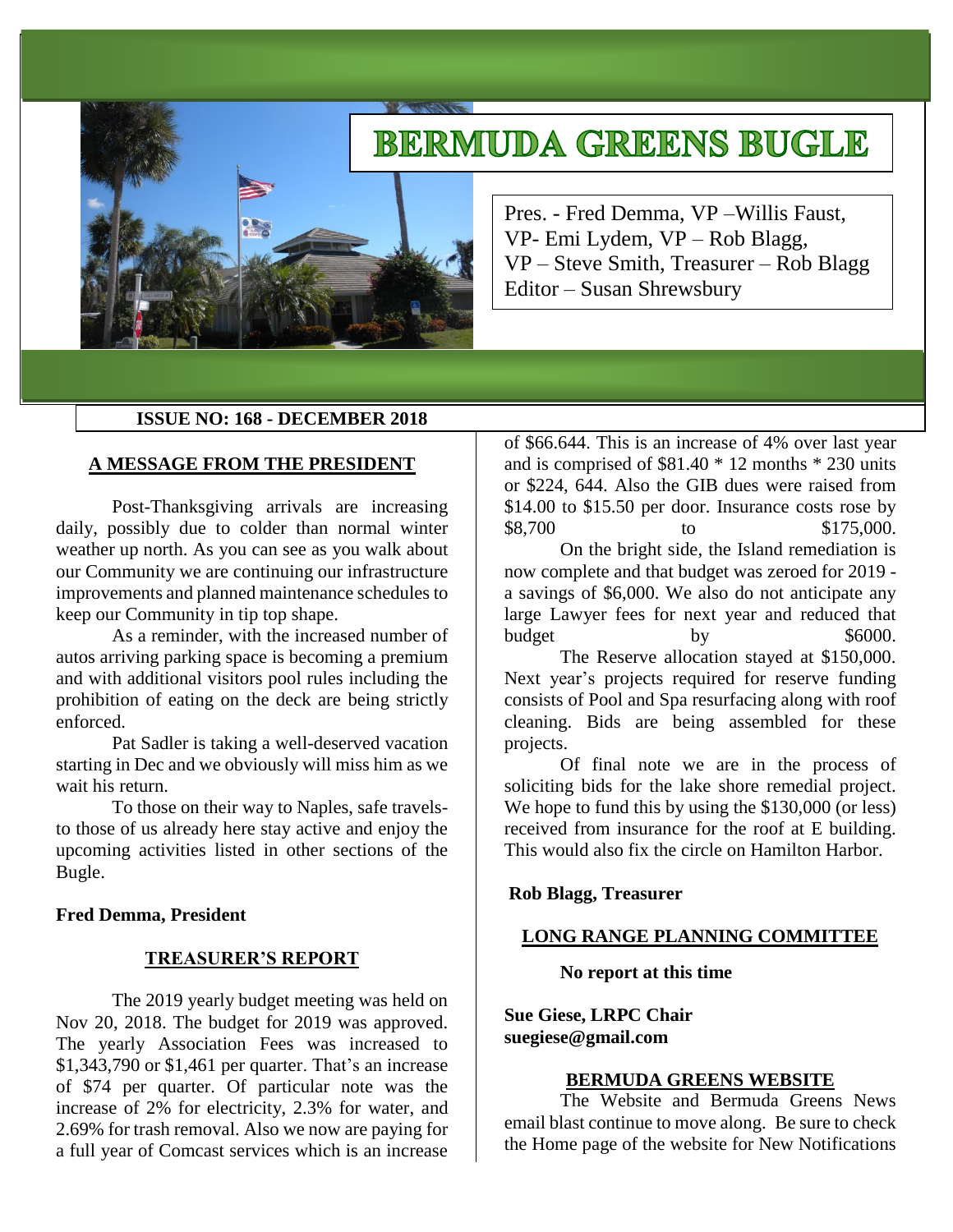# **BERMUDA GREENS BUGLE**

Pres. - Fred Demma, VP –Willis Faust, VP- Emi Lydem, VP – Rob Blagg, VP – Steve Smith, Treasurer – Rob Blagg Editor – Susan Shrewsbury

## **ISSUE NO: 168 - DECEMBER 2018**

## **A MESSAGE FROM THE PRESIDENT**

Post-Thanksgiving arrivals are increasing daily, possibly due to colder than normal winter weather up north. As you can see as you walk about our Community we are continuing our infrastructure improvements and planned maintenance schedules to keep our Community in tip top shape.

As a reminder, with the increased number of autos arriving parking space is becoming a premium and with additional visitors pool rules including the prohibition of eating on the deck are being strictly enforced.

Pat Sadler is taking a well-deserved vacation starting in Dec and we obviously will miss him as we wait his return.

To those on their way to Naples, safe travelsto those of us already here stay active and enjoy the upcoming activities listed in other sections of the Bugle.

## **Fred Demma, President**

## **TREASURER'S REPORT**

The 2019 yearly budget meeting was held on Nov 20, 2018. The budget for 2019 was approved. The yearly Association Fees was increased to \$1,343,790 or \$1,461 per quarter. That's an increase of \$74 per quarter. Of particular note was the increase of 2% for electricity, 2.3% for water, and 2.69% for trash removal. Also we now are paying for a full year of Comcast services which is an increase

of \$66.644. This is an increase of 4% over last year and is comprised of \$81.40 \* 12 months \* 230 units or \$224, 644. Also the GIB dues were raised from \$14.00 to \$15.50 per door. Insurance costs rose by \$8,700 to \$175,000.

On the bright side, the Island remediation is now complete and that budget was zeroed for 2019 a savings of \$6,000. We also do not anticipate any large Lawyer fees for next year and reduced that budget by  $\frac{1}{2}$  by \$6000.

The Reserve allocation stayed at \$150,000. Next year's projects required for reserve funding consists of Pool and Spa resurfacing along with roof cleaning. Bids are being assembled for these projects.

Of final note we are in the process of soliciting bids for the lake shore remedial project. We hope to fund this by using the \$130,000 (or less) received from insurance for the roof at E building. This would also fix the circle on Hamilton Harbor.

## **Rob Blagg, Treasurer**

## **LONG RANGE PLANNING COMMITTEE**

**No report at this time**

**Sue Giese, LRPC Chair suegiese@gmail.com**

#### **BERMUDA GREENS WEBSITE**

The Website and Bermuda Greens News email blast continue to move along. Be sure to check the Home page of the website for New Notifications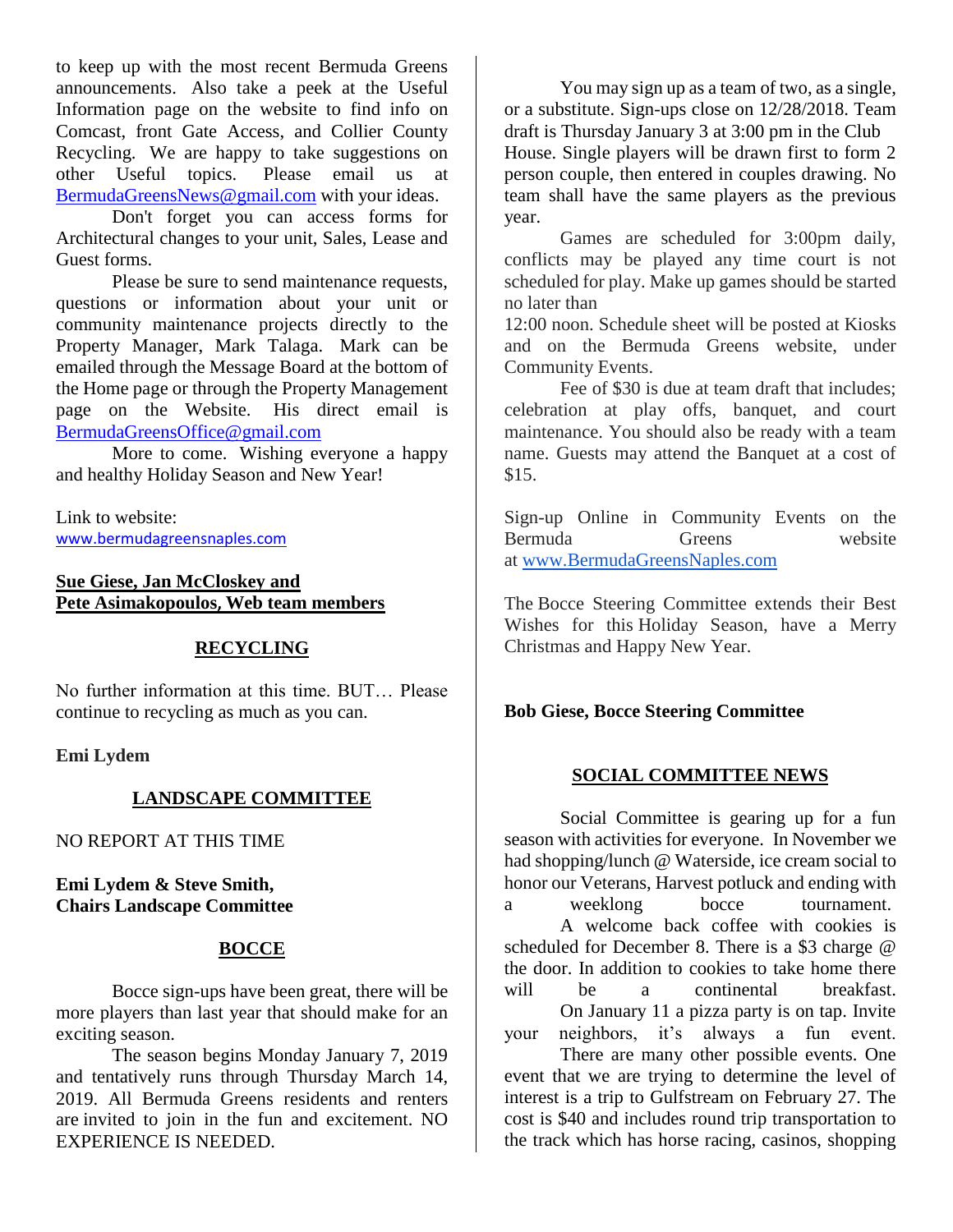to keep up with the most recent Bermuda Greens announcements. Also take a peek at the Useful Information page on the website to find info on Comcast, front Gate Access, and Collier County Recycling. We are happy to take suggestions on other Useful topics. Please email us at [BermudaGreensNews@gmail.com](mailto:BermudaGreensNews@gmail.com) with your ideas.

Don't forget you can access forms for Architectural changes to your unit, Sales, Lease and Guest forms.

Please be sure to send maintenance requests, questions or information about your unit or community maintenance projects directly to the Property Manager, Mark Talaga. Mark can be emailed through the Message Board at the bottom of the Home page or through the Property Management page on the Website. His direct email is [BermudaGreensOffice@gmail.com](mailto:BermudaGreensOffice@gmail.com)

More to come. Wishing everyone a happy and healthy Holiday Season and New Year!

Link to website: [www.bermudagreensnaples.com](http://www.bermudagreensnaples.com/)

## **Sue Giese, Jan McCloskey and Pete Asimakopoulos, Web team members**

# **RECYCLING**

No further information at this time. BUT… Please continue to recycling as much as you can.

**Emi Lydem**

# **LANDSCAPE COMMITTEE**

NO REPORT AT THIS TIME

**Emi Lydem & Steve Smith, Chairs Landscape Committee**

# **BOCCE**

Bocce sign-ups have been great, there will be more players than last year that should make for an exciting season.

The season begins Monday January 7, 2019 and tentatively runs through Thursday March 14, 2019. All Bermuda Greens residents and renters are invited to join in the fun and excitement. NO EXPERIENCE IS NEEDED.

You may sign up as a team of two, as a single, or a substitute. Sign-ups close on 12/28/2018. Team draft is Thursday January 3 at 3:00 pm in the Club House. Single players will be drawn first to form 2 person couple, then entered in couples drawing. No team shall have the same players as the previous year.

Games are scheduled for 3:00pm daily, conflicts may be played any time court is not scheduled for play. Make up games should be started no later than

12:00 noon. Schedule sheet will be posted at Kiosks and on the Bermuda Greens website, under Community Events.

Fee of \$30 is due at team draft that includes; celebration at play offs, banquet, and court maintenance. You should also be ready with a team name. Guests may attend the Banquet at a cost of \$15.

Sign-up Online in Community Events on the Bermuda Greens website at [www.BermudaGreensNaples.com](http://www.bermudagreensnaples.com/)

The Bocce Steering Committee extends their Best Wishes for this Holiday Season, have a Merry Christmas and Happy New Year.

# **Bob Giese, Bocce Steering Committee**

# **SOCIAL COMMITTEE NEWS**

Social Committee is gearing up for a fun season with activities for everyone. In November we had shopping/lunch @ Waterside, ice cream social to honor our Veterans, Harvest potluck and ending with a weeklong bocce tournament. A welcome back coffee with cookies is scheduled for December 8. There is a \$3 charge @ the door. In addition to cookies to take home there will be a continental breakfast. On January 11 a pizza party is on tap. Invite your neighbors, it's always a fun event.

There are many other possible events. One event that we are trying to determine the level of interest is a trip to Gulfstream on February 27. The cost is \$40 and includes round trip transportation to the track which has horse racing, casinos, shopping